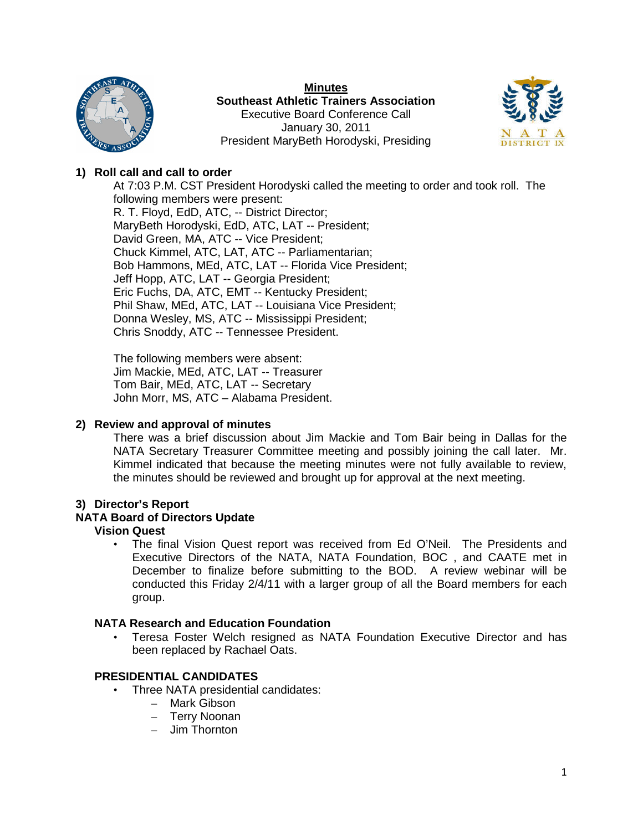

**Minutes Southeast Athletic Trainers Association** Executive Board Conference Call January 30, 2011 President MaryBeth Horodyski, Presiding



# **1) Roll call and call to order**

At 7:03 P.M. CST President Horodyski called the meeting to order and took roll. The following members were present: R. T. Floyd, EdD, ATC, -- District Director; MaryBeth Horodyski, EdD, ATC, LAT -- President; David Green, MA, ATC -- Vice President; Chuck Kimmel, ATC, LAT, ATC -- Parliamentarian; Bob Hammons, MEd, ATC, LAT -- Florida Vice President; Jeff Hopp, ATC, LAT -- Georgia President; Eric Fuchs, DA, ATC, EMT -- Kentucky President; Phil Shaw, MEd, ATC, LAT -- Louisiana Vice President; Donna Wesley, MS, ATC -- Mississippi President; Chris Snoddy, ATC -- Tennessee President.

The following members were absent: Jim Mackie, MEd, ATC, LAT -- Treasurer Tom Bair, MEd, ATC, LAT -- Secretary John Morr, MS, ATC – Alabama President.

## **2) Review and approval of minutes**

There was a brief discussion about Jim Mackie and Tom Bair being in Dallas for the NATA Secretary Treasurer Committee meeting and possibly joining the call later. Mr. Kimmel indicated that because the meeting minutes were not fully available to review, the minutes should be reviewed and brought up for approval at the next meeting.

## **3) Director's Report**

# **NATA Board of Directors Update**

## **Vision Quest**

• The final Vision Quest report was received from Ed O'Neil. The Presidents and Executive Directors of the NATA, NATA Foundation, BOC , and CAATE met in December to finalize before submitting to the BOD. A review webinar will be conducted this Friday 2/4/11 with a larger group of all the Board members for each group.

#### **NATA Research and Education Foundation**

• Teresa Foster Welch resigned as NATA Foundation Executive Director and has been replaced by Rachael Oats.

## **PRESIDENTIAL CANDIDATES**

- Three NATA presidential candidates:
	- Mark Gibson
	- Terry Noonan
	- Jim Thornton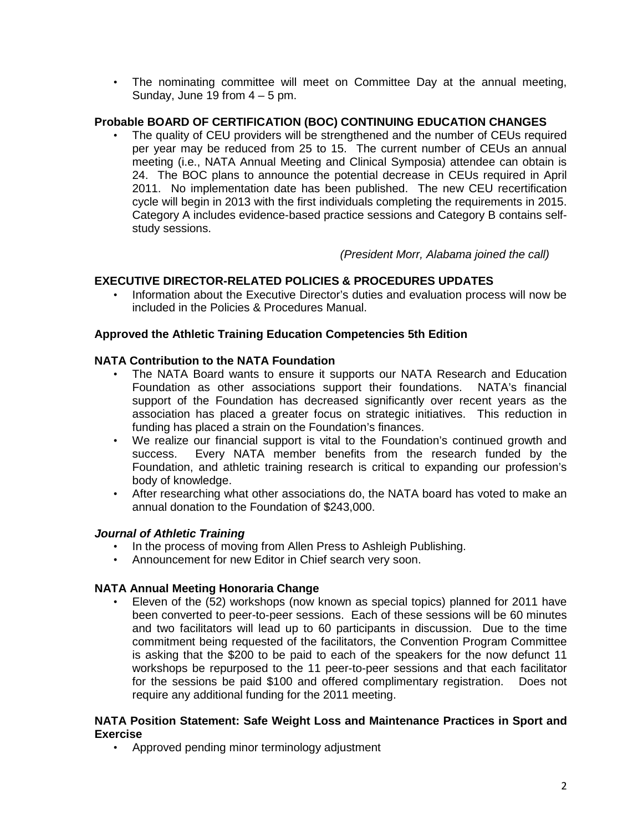• The nominating committee will meet on Committee Day at the annual meeting, Sunday, June 19 from  $4 - 5$  pm.

# **Probable BOARD OF CERTIFICATION (BOC) CONTINUING EDUCATION CHANGES**

The quality of CEU providers will be strengthened and the number of CEUs required per year may be reduced from 25 to 15. The current number of CEUs an annual meeting (i.e., NATA Annual Meeting and Clinical Symposia) attendee can obtain is 24. The BOC plans to announce the potential decrease in CEUs required in April 2011. No implementation date has been published. The new CEU recertification cycle will begin in 2013 with the first individuals completing the requirements in 2015. Category A includes evidence-based practice sessions and Category B contains selfstudy sessions.

*(President Morr, Alabama joined the call)*

# **EXECUTIVE DIRECTOR-RELATED POLICIES & PROCEDURES UPDATES**

• Information about the Executive Director's duties and evaluation process will now be included in the Policies & Procedures Manual.

## **Approved the Athletic Training Education Competencies 5th Edition**

## **NATA Contribution to the NATA Foundation**

- The NATA Board wants to ensure it supports our NATA Research and Education Foundation as other associations support their foundations. NATA's financial support of the Foundation has decreased significantly over recent years as the association has placed a greater focus on strategic initiatives. This reduction in funding has placed a strain on the Foundation's finances.
- We realize our financial support is vital to the Foundation's continued growth and success. Every NATA member benefits from the research funded by the Foundation, and athletic training research is critical to expanding our profession's body of knowledge.
- After researching what other associations do, the NATA board has voted to make an annual donation to the Foundation of \$243,000.

## *Journal of Athletic Training*

- In the process of moving from Allen Press to Ashleigh Publishing.
- Announcement for new Editor in Chief search very soon.

# **NATA Annual Meeting Honoraria Change**

• Eleven of the (52) workshops (now known as special topics) planned for 2011 have been converted to peer-to-peer sessions. Each of these sessions will be 60 minutes and two facilitators will lead up to 60 participants in discussion. Due to the time commitment being requested of the facilitators, the Convention Program Committee is asking that the \$200 to be paid to each of the speakers for the now defunct 11 workshops be repurposed to the 11 peer-to-peer sessions and that each facilitator for the sessions be paid \$100 and offered complimentary registration. Does not require any additional funding for the 2011 meeting.

## **NATA Position Statement: Safe Weight Loss and Maintenance Practices in Sport and Exercise**

• Approved pending minor terminology adjustment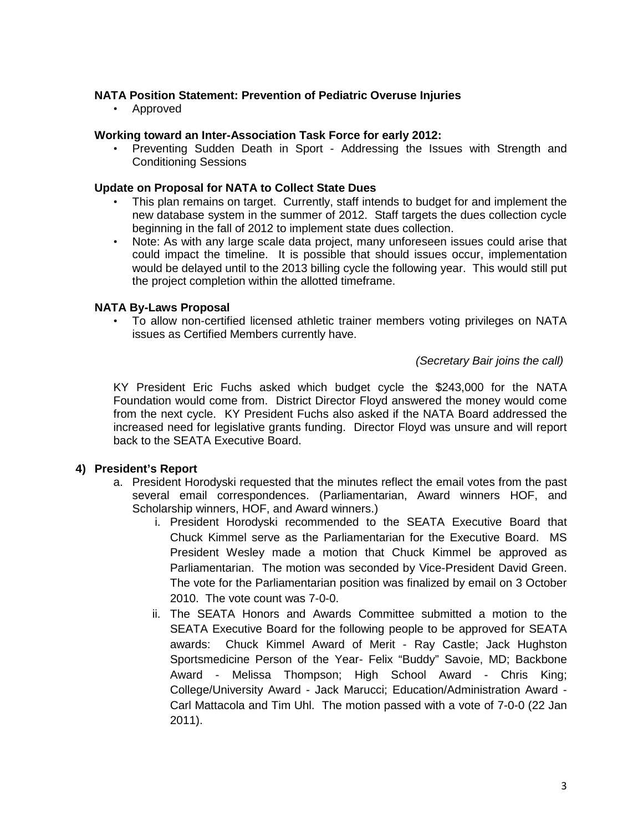# **NATA Position Statement: Prevention of Pediatric Overuse Injuries**

• Approved

## **Working toward an Inter-Association Task Force for early 2012:**

• Preventing Sudden Death in Sport - Addressing the Issues with Strength and Conditioning Sessions

## **Update on Proposal for NATA to Collect State Dues**

- This plan remains on target. Currently, staff intends to budget for and implement the new database system in the summer of 2012. Staff targets the dues collection cycle beginning in the fall of 2012 to implement state dues collection.
- Note: As with any large scale data project, many unforeseen issues could arise that could impact the timeline. It is possible that should issues occur, implementation would be delayed until to the 2013 billing cycle the following year. This would still put the project completion within the allotted timeframe.

# **NATA By-Laws Proposal**

• To allow non-certified licensed athletic trainer members voting privileges on NATA issues as Certified Members currently have.

## *(Secretary Bair joins the call)*

KY President Eric Fuchs asked which budget cycle the \$243,000 for the NATA Foundation would come from. District Director Floyd answered the money would come from the next cycle. KY President Fuchs also asked if the NATA Board addressed the increased need for legislative grants funding. Director Floyd was unsure and will report back to the SEATA Executive Board.

## **4) President's Report**

- a. President Horodyski requested that the minutes reflect the email votes from the past several email correspondences. (Parliamentarian, Award winners HOF, and Scholarship winners, HOF, and Award winners.)
	- i. President Horodyski recommended to the SEATA Executive Board that Chuck Kimmel serve as the Parliamentarian for the Executive Board. MS President Wesley made a motion that Chuck Kimmel be approved as Parliamentarian. The motion was seconded by Vice-President David Green. The vote for the Parliamentarian position was finalized by email on 3 October 2010. The vote count was 7-0-0.
	- ii. The SEATA Honors and Awards Committee submitted a motion to the SEATA Executive Board for the following people to be approved for SEATA awards: Chuck Kimmel Award of Merit - Ray Castle; Jack Hughston Sportsmedicine Person of the Year- Felix "Buddy" Savoie, MD; Backbone Award - Melissa Thompson; High School Award - Chris King; College/University Award - Jack Marucci; Education/Administration Award - Carl Mattacola and Tim Uhl. The motion passed with a vote of 7-0-0 (22 Jan 2011).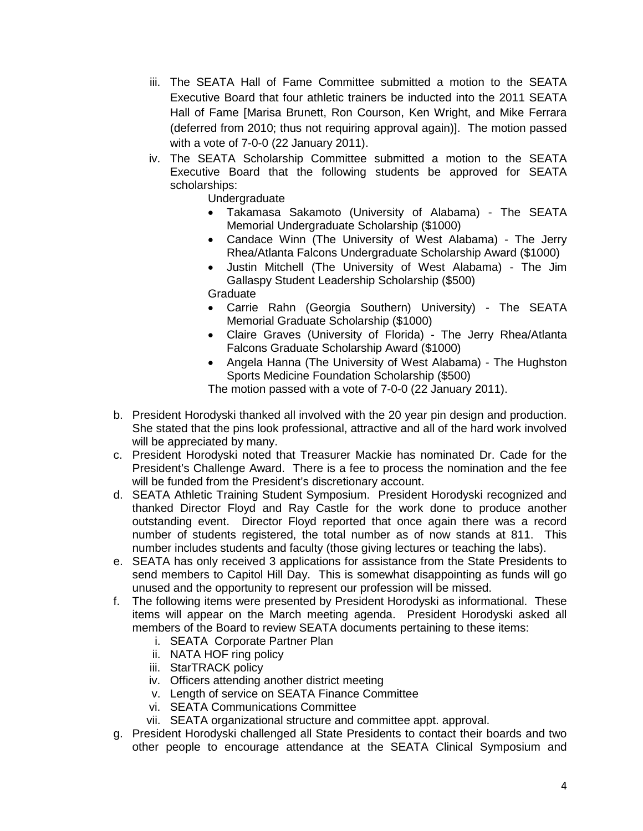- iii. The SEATA Hall of Fame Committee submitted a motion to the SEATA Executive Board that four athletic trainers be inducted into the 2011 SEATA Hall of Fame [Marisa Brunett, Ron Courson, Ken Wright, and Mike Ferrara (deferred from 2010; thus not requiring approval again)]. The motion passed with a vote of 7-0-0 (22 January 2011).
- iv. The SEATA Scholarship Committee submitted a motion to the SEATA Executive Board that the following students be approved for SEATA scholarships:

Undergraduate

- Takamasa Sakamoto (University of Alabama) The SEATA Memorial Undergraduate Scholarship (\$1000)
- Candace Winn (The University of West Alabama) The Jerry Rhea/Atlanta Falcons Undergraduate Scholarship Award (\$1000)
- Justin Mitchell (The University of West Alabama) The Jim Gallaspy Student Leadership Scholarship (\$500)
- **Graduate**
- Carrie Rahn (Georgia Southern) University) The SEATA Memorial Graduate Scholarship (\$1000)
- Claire Graves (University of Florida) The Jerry Rhea/Atlanta Falcons Graduate Scholarship Award (\$1000)
- Angela Hanna (The University of West Alabama) The Hughston Sports Medicine Foundation Scholarship (\$500)

The motion passed with a vote of 7-0-0 (22 January 2011).

- b. President Horodyski thanked all involved with the 20 year pin design and production. She stated that the pins look professional, attractive and all of the hard work involved will be appreciated by many.
- c. President Horodyski noted that Treasurer Mackie has nominated Dr. Cade for the President's Challenge Award. There is a fee to process the nomination and the fee will be funded from the President's discretionary account.
- d. SEATA Athletic Training Student Symposium. President Horodyski recognized and thanked Director Floyd and Ray Castle for the work done to produce another outstanding event. Director Floyd reported that once again there was a record number of students registered, the total number as of now stands at 811. This number includes students and faculty (those giving lectures or teaching the labs).
- e. SEATA has only received 3 applications for assistance from the State Presidents to send members to Capitol Hill Day. This is somewhat disappointing as funds will go unused and the opportunity to represent our profession will be missed.
- f. The following items were presented by President Horodyski as informational. These items will appear on the March meeting agenda. President Horodyski asked all members of the Board to review SEATA documents pertaining to these items:
	- i. SEATA Corporate Partner Plan
	- ii. NATA HOF ring policy
	- iii. StarTRACK policy
	- iv. Officers attending another district meeting
	- v. Length of service on SEATA Finance Committee
	- vi. SEATA Communications Committee
	- vii. SEATA organizational structure and committee appt. approval.
- g. President Horodyski challenged all State Presidents to contact their boards and two other people to encourage attendance at the SEATA Clinical Symposium and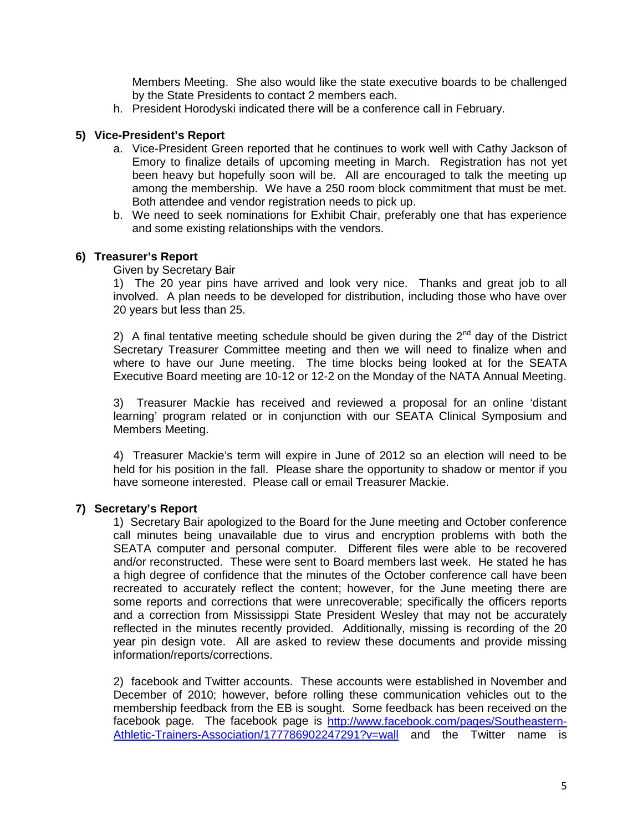Members Meeting. She also would like the state executive boards to be challenged by the State Presidents to contact 2 members each.

h. President Horodyski indicated there will be a conference call in February.

# **5) Vice-President's Report**

- a. Vice-President Green reported that he continues to work well with Cathy Jackson of Emory to finalize details of upcoming meeting in March. Registration has not yet been heavy but hopefully soon will be. All are encouraged to talk the meeting up among the membership. We have a 250 room block commitment that must be met. Both attendee and vendor registration needs to pick up.
- b. We need to seek nominations for Exhibit Chair, preferably one that has experience and some existing relationships with the vendors.

## **6) Treasurer's Report**

Given by Secretary Bair

1) The 20 year pins have arrived and look very nice. Thanks and great job to all involved. A plan needs to be developed for distribution, including those who have over 20 years but less than 25.

2) A final tentative meeting schedule should be given during the  $2<sup>nd</sup>$  day of the District Secretary Treasurer Committee meeting and then we will need to finalize when and where to have our June meeting. The time blocks being looked at for the SEATA Executive Board meeting are 10-12 or 12-2 on the Monday of the NATA Annual Meeting.

3) Treasurer Mackie has received and reviewed a proposal for an online 'distant learning' program related or in conjunction with our SEATA Clinical Symposium and Members Meeting.

4) Treasurer Mackie's term will expire in June of 2012 so an election will need to be held for his position in the fall. Please share the opportunity to shadow or mentor if you have someone interested. Please call or email Treasurer Mackie.

#### **7) Secretary's Report**

1) Secretary Bair apologized to the Board for the June meeting and October conference call minutes being unavailable due to virus and encryption problems with both the SEATA computer and personal computer. Different files were able to be recovered and/or reconstructed. These were sent to Board members last week. He stated he has a high degree of confidence that the minutes of the October conference call have been recreated to accurately reflect the content; however, for the June meeting there are some reports and corrections that were unrecoverable; specifically the officers reports and a correction from Mississippi State President Wesley that may not be accurately reflected in the minutes recently provided. Additionally, missing is recording of the 20 year pin design vote. All are asked to review these documents and provide missing information/reports/corrections.

2) facebook and Twitter accounts. These accounts were established in November and December of 2010; however, before rolling these communication vehicles out to the membership feedback from the EB is sought. Some feedback has been received on the facebook page. The facebook page is [http://www.facebook.com/pages/Southeastern-](http://www.facebook.com/pages/Southeastern-Athletic-Trainers-Association/177786902247291?v=wall)[Athletic-Trainers-Association/177786902247291?v=wall](http://www.facebook.com/pages/Southeastern-Athletic-Trainers-Association/177786902247291?v=wall) and the Twitter name is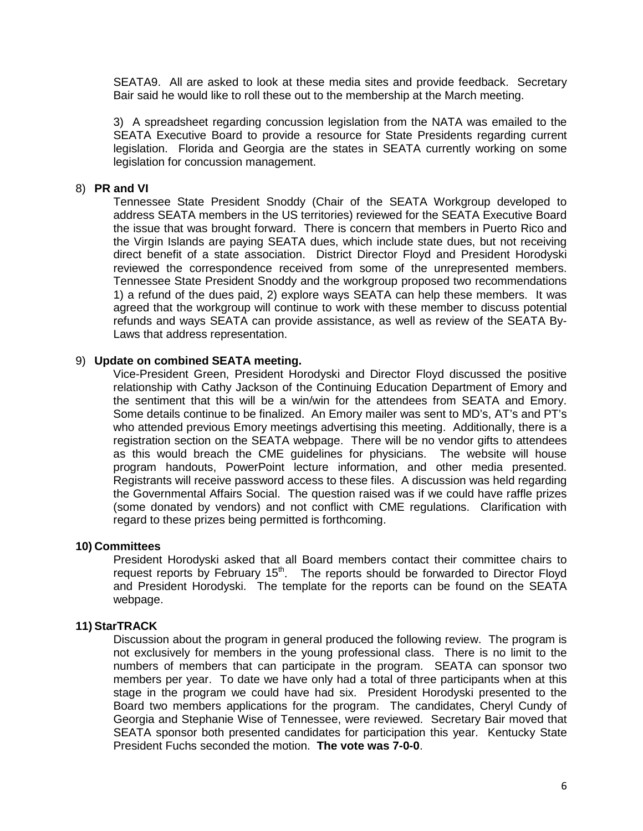SEATA9. All are asked to look at these media sites and provide feedback. Secretary Bair said he would like to roll these out to the membership at the March meeting.

3) A spreadsheet regarding concussion legislation from the NATA was emailed to the SEATA Executive Board to provide a resource for State Presidents regarding current legislation. Florida and Georgia are the states in SEATA currently working on some legislation for concussion management.

#### 8) **PR and VI**

Tennessee State President Snoddy (Chair of the SEATA Workgroup developed to address SEATA members in the US territories) reviewed for the SEATA Executive Board the issue that was brought forward. There is concern that members in Puerto Rico and the Virgin Islands are paying SEATA dues, which include state dues, but not receiving direct benefit of a state association. District Director Floyd and President Horodyski reviewed the correspondence received from some of the unrepresented members. Tennessee State President Snoddy and the workgroup proposed two recommendations 1) a refund of the dues paid, 2) explore ways SEATA can help these members. It was agreed that the workgroup will continue to work with these member to discuss potential refunds and ways SEATA can provide assistance, as well as review of the SEATA By-Laws that address representation.

## 9) **Update on combined SEATA meeting.**

Vice-President Green, President Horodyski and Director Floyd discussed the positive relationship with Cathy Jackson of the Continuing Education Department of Emory and the sentiment that this will be a win/win for the attendees from SEATA and Emory. Some details continue to be finalized. An Emory mailer was sent to MD's, AT's and PT's who attended previous Emory meetings advertising this meeting. Additionally, there is a registration section on the SEATA webpage. There will be no vendor gifts to attendees as this would breach the CME guidelines for physicians. The website will house program handouts, PowerPoint lecture information, and other media presented. Registrants will receive password access to these files. A discussion was held regarding the Governmental Affairs Social. The question raised was if we could have raffle prizes (some donated by vendors) and not conflict with CME regulations. Clarification with regard to these prizes being permitted is forthcoming.

## **10) Committees**

President Horodyski asked that all Board members contact their committee chairs to request reports by February  $15<sup>th</sup>$ . The reports should be forwarded to Director Floyd and President Horodyski. The template for the reports can be found on the SEATA webpage.

#### **11) StarTRACK**

Discussion about the program in general produced the following review. The program is not exclusively for members in the young professional class. There is no limit to the numbers of members that can participate in the program. SEATA can sponsor two members per year. To date we have only had a total of three participants when at this stage in the program we could have had six. President Horodyski presented to the Board two members applications for the program. The candidates, Cheryl Cundy of Georgia and Stephanie Wise of Tennessee, were reviewed. Secretary Bair moved that SEATA sponsor both presented candidates for participation this year. Kentucky State President Fuchs seconded the motion. **The vote was 7-0-0**.